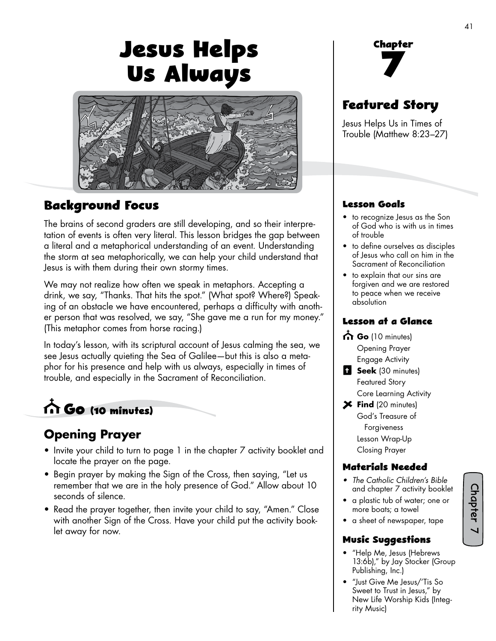# **Jesus Helps Us Always**



### **Background Focus**

The brains of second graders are still developing, and so their interpretation of events is often very literal. This lesson bridges the gap between a literal and a metaphorical understanding of an event. Understanding the storm at sea metaphorically, we can help your child understand that Jesus is with them during their own stormy times.

We may not realize how often we speak in metaphors. Accepting a drink, we say, "Thanks. That hits the spot." (What spot? Where?) Speaking of an obstacle we have encountered, perhaps a difficulty with another person that was resolved, we say, "She gave me a run for my money." (This metaphor comes from horse racing.)

In today's lesson, with its scriptural account of Jesus calming the sea, we see Jesus actually quieting the Sea of Galilee—but this is also a metaphor for his presence and help with us always, especially in times of trouble, and especially in the Sacrament of Reconciliation.

# **Go (10 minutes)**

### **Opening Prayer**

- Invite your child to turn to page 1 in the chapter 7 activity booklet and locate the prayer on the page.
- Begin prayer by making the Sign of the Cross, then saying, "Let us remember that we are in the holy presence of God." Allow about 10 seconds of silence.
- Read the prayer together, then invite your child to say, "Amen." Close with another Sign of the Cross. Have your child put the activity booklet away for now.

**Chapter 7**

## **Featured Story**

Jesus Helps Us in Times of Trouble (Matthew 8:23–27)

#### **Lesson Goals**

- to recognize Jesus as the Son of God who is with us in times of trouble
- to define ourselves as disciples of Jesus who call on him in the Sacrament of Reconciliation
- to explain that our sins are forgiven and we are restored to peace when we receive absolution

#### **Lesson at a Glance**

- Go (10 minutes) Opening Prayer Engage Activity
- **Seek** (30 minutes) Featured Story
- Core Learning Activity **Find** (20 minutes)

God's Treasure of Forgiveness Lesson Wrap-Up Closing Prayer

#### **Materials Needed**

- *• The Catholic Children's Bible* and chapter 7 activity booklet
- a plastic tub of water; one or more boats; a towel

Chapter 7

• a sheet of newspaper, tape

#### **Music Suggestions**

- "Help Me, Jesus (Hebrews 13:6b)," by Jay Stocker (Group Publishing, Inc.)
- "Just Give Me Jesus/'Tis So Sweet to Trust in Jesus," by New Life Worship Kids (Integrity Music)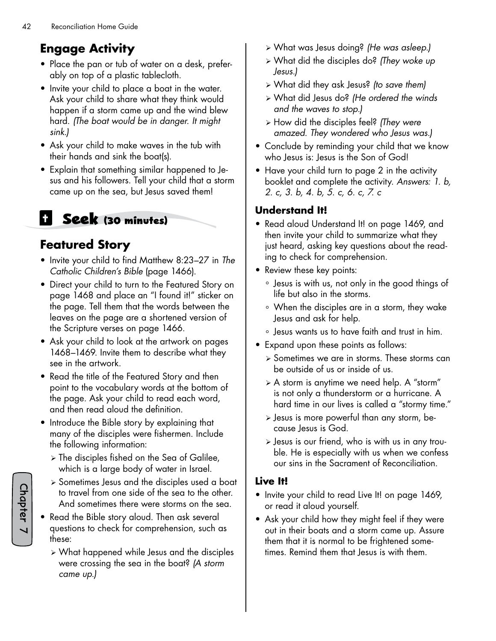# **Engage Activity**

- Place the pan or tub of water on a desk, preferably on top of a plastic tablecloth.
- Invite your child to place a boat in the water. Ask your child to share what they think would happen if a storm came up and the wind blew hard. *(The boat would be in danger. It might sink.)*
- Ask your child to make waves in the tub with their hands and sink the boat(s).
- Explain that something similar happened to Jesus and his followers. Tell your child that a storm came up on the sea, but Jesus saved them!

# **Seek (30 minutes)**

## **Featured Story**

- Invite your child to find Matthew 8:23–27 in *The Catholic Children's Bible* (page 1466).
- Direct your child to turn to the Featured Story on page 1468 and place an "I found it!" sticker on the page. Tell them that the words between the leaves on the page are a shortened version of the Scripture verses on page 1466.
- Ask your child to look at the artwork on pages 1468–1469. Invite them to describe what they see in the artwork.
- Read the title of the Featured Story and then point to the vocabulary words at the bottom of the page. Ask your child to read each word, and then read aloud the definition.
- Introduce the Bible story by explaining that many of the disciples were fishermen. Include the following information:
	- $\triangleright$  The disciples fished on the Sea of Galilee, which is a large body of water in Israel.
	- $\ge$  Sometimes Jesus and the disciples used a boat to travel from one side of the sea to the other. And sometimes there were storms on the sea.
- Read the Bible story aloud. Then ask several questions to check for comprehension, such as these:
	- ¾ What happened while Jesus and the disciples were crossing the sea in the boat? *(A storm came up.)*
- ¾ What was Jesus doing? *(He was asleep.)*
- ¾ What did the disciples do? *(They woke up Jesus.)*
- ¾ What did they ask Jesus? *(to save them)*
- ¾ What did Jesus do? *(He ordered the winds and the waves to stop.)*
- ¾ How did the disciples feel? *(They were amazed. They wondered who Jesus was.)*
- Conclude by reminding your child that we know who Jesus is: Jesus is the Son of God!
- Have your child turn to page 2 in the activity booklet and complete the activity. *Answers: 1. b, 2. c, 3. b, 4. b, 5. c, 6. c, 7. c*

#### **Understand It!**

- Read aloud Understand It! on page 1469, and then invite your child to summarize what they just heard, asking key questions about the reading to check for comprehension.
- Review these key points:
	- ° Jesus is with us, not only in the good things of life but also in the storms.
	- ° When the disciples are in a storm, they wake Jesus and ask for help.
	- ° Jesus wants us to have faith and trust in him.
- Expand upon these points as follows:
	- ¾ Sometimes we are in storms. These storms can be outside of us or inside of us.
	- $\triangleright$  A storm is anytime we need help. A "storm" is not only a thunderstorm or a hurricane. A hard time in our lives is called a "stormy time."
	- ¾ Jesus is more powerful than any storm, because Jesus is God.
	- ¾ Jesus is our friend, who is with us in any trouble. He is especially with us when we confess our sins in the Sacrament of Reconciliation.

#### **Live It!**

- Invite your child to read Live It! on page 1469, or read it aloud yourself.
- Ask your child how they might feel if they were out in their boats and a storm came up. Assure them that it is normal to be frightened sometimes. Remind them that Jesus is with them.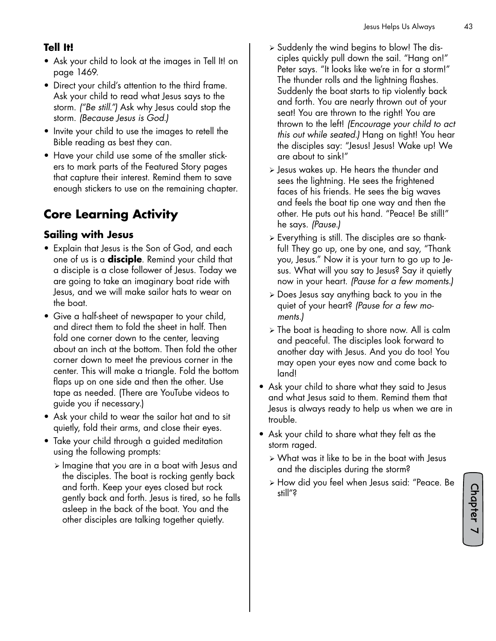#### **Tell It!**

- Ask your child to look at the images in Tell It! on page 1469.
- Direct your child's attention to the third frame. Ask your child to read what Jesus says to the storm. *("Be still.")* Ask why Jesus could stop the storm. *(Because Jesus is God.)*
- Invite your child to use the images to retell the Bible reading as best they can.
- Have your child use some of the smaller stickers to mark parts of the Featured Story pages that capture their interest. Remind them to save enough stickers to use on the remaining chapter.

# **Core Learning Activity**

#### **Sailing with Jesus**

- Explain that Jesus is the Son of God, and each one of us is a **disciple**. Remind your child that a disciple is a close follower of Jesus. Today we are going to take an imaginary boat ride with Jesus, and we will make sailor hats to wear on the boat.
- Give a half-sheet of newspaper to your child, and direct them to fold the sheet in half. Then fold one corner down to the center, leaving about an inch at the bottom. Then fold the other corner down to meet the previous corner in the center. This will make a triangle. Fold the bottom flaps up on one side and then the other. Use tape as needed. (There are YouTube videos to guide you if necessary.)
- Ask your child to wear the sailor hat and to sit quietly, fold their arms, and close their eyes.
- Take your child through a guided meditation using the following prompts:
	- $\triangleright$  Imagine that you are in a boat with Jesus and the disciples. The boat is rocking gently back and forth. Keep your eyes closed but rock gently back and forth. Jesus is tired, so he falls asleep in the back of the boat. You and the other disciples are talking together quietly.
- $\triangleright$  Suddenly the wind begins to blow! The disciples quickly pull down the sail. "Hang on!" Peter says. "It looks like we're in for a storm!" The thunder rolls and the lightning flashes. Suddenly the boat starts to tip violently back and forth. You are nearly thrown out of your seat! You are thrown to the right! You are thrown to the left! *(Encourage your child to act this out while seated.)* Hang on tight! You hear the disciples say: "Jesus! Jesus! Wake up! We are about to sink!"
- ¾ Jesus wakes up. He hears the thunder and sees the lightning. He sees the frightened faces of his friends. He sees the big waves and feels the boat tip one way and then the other. He puts out his hand. "Peace! Be still!" he says. *(Pause.)*
- $\triangleright$  Everything is still. The disciples are so thankful! They go up, one by one, and say, "Thank you, Jesus." Now it is your turn to go up to Jesus. What will you say to Jesus? Say it quietly now in your heart. *(Pause for a few moments.)*
- ¾ Does Jesus say anything back to you in the quiet of your heart? *(Pause for a few moments.)*
- $\triangleright$  The boat is heading to shore now. All is calm and peaceful. The disciples look forward to another day with Jesus. And you do too! You may open your eyes now and come back to land!
- Ask your child to share what they said to Jesus and what Jesus said to them. Remind them that Jesus is always ready to help us when we are in trouble.
- Ask your child to share what they felt as the storm raged.
	- $\triangleright$  What was it like to be in the boat with Jesus and the disciples during the storm?
	- ¾ How did you feel when Jesus said: "Peace. Be still"?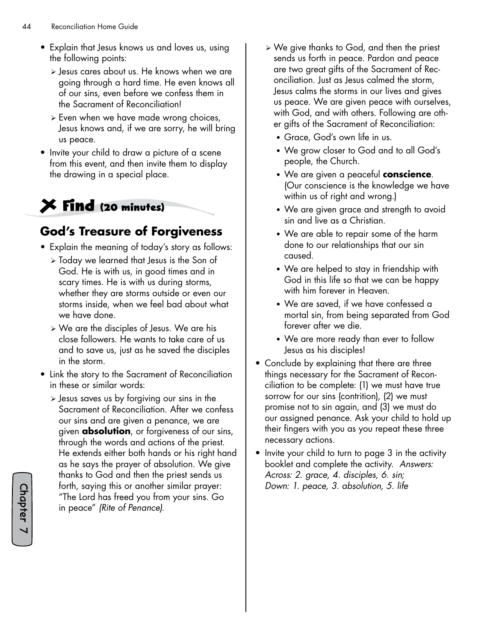- Explain that Jesus knows us and loves us, using the following points:
	- ¾ Jesus cares about us. He knows when we are going through a hard time. He even knows all of our sins, even before we confess them in the Sacrament of Reconciliation!
	- ¾ Even when we have made wrong choices, Jesus knows and, if we are sorry, he will bring us peace.
- Invite your child to draw a picture of a scene from this event, and then invite them to display the drawing in a special place.

# **Find (20 minutes)**

## **God's Treasure of Forgiveness**

- Explain the meaning of today's story as follows:
	- ¾ Today we learned that Jesus is the Son of God. He is with us, in good times and in scary times. He is with us during storms, whether they are storms outside or even our storms inside, when we feel bad about what we have done.
	- $\triangleright$  We are the disciples of Jesus. We are his close followers. He wants to take care of us and to save us, just as he saved the disciples in the storm.
- Link the story to the Sacrament of Reconciliation in these or similar words:
	- $\triangleright$  Jesus saves us by forgiving our sins in the Sacrament of Reconciliation. After we confess our sins and are given a penance, we are given **absolution**, or forgiveness of our sins, through the words and actions of the priest. He extends either both hands or his right hand as he says the prayer of absolution. We give thanks to God and then the priest sends us forth, saying this or another similar prayer: "The Lord has freed you from your sins. Go in peace" *(Rite of Penance).*
- ¾ We give thanks to God, and then the priest sends us forth in peace. Pardon and peace are two great gifts of the Sacrament of Reconciliation. Just as Jesus calmed the storm, Jesus calms the storms in our lives and gives us peace. We are given peace with ourselves, with God, and with others. Following are other gifts of the Sacrament of Reconciliation:
	- Grace, God's own life in us.
	- We grow closer to God and to all God's people, the Church.
	- We are given a peaceful **conscience**. (Our conscience is the knowledge we have within us of right and wrong.)
	- We are given grace and strength to avoid sin and live as a Christian.
	- We are able to repair some of the harm done to our relationships that our sin caused.
	- We are helped to stay in friendship with God in this life so that we can be happy with him forever in Heaven.
	- We are saved, if we have confessed a mortal sin, from being separated from God forever after we die.
	- We are more ready than ever to follow Jesus as his disciples!
- Conclude by explaining that there are three things necessary for the Sacrament of Reconciliation to be complete: (1) we must have true sorrow for our sins (contrition), (2) we must promise not to sin again, and (3) we must do our assigned penance. Ask your child to hold up their fingers with you as you repeat these three necessary actions.
- Invite your child to turn to page 3 in the activity booklet and complete the activity. *Answers: Across: 2. grace, 4. disciples, 6. sin; Down: 1. peace, 3. absolution, 5. life*